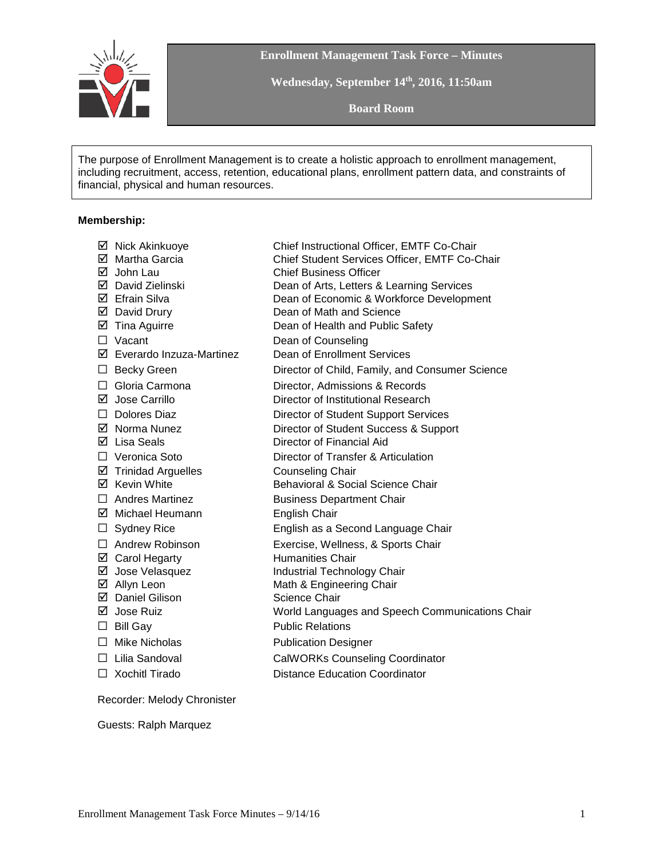

**Enrollment Management Task Force – Minutes**

**Wednesday, September 14th, 2016, 11:50am**

**Board Room**

The purpose of Enrollment Management is to create a holistic approach to enrollment management, including recruitment, access, retention, educational plans, enrollment pattern data, and constraints of financial, physical and human resources.

### **Membership:**

|         | ☑ Nick Akinkuoye               | Chief Instructional Officer, EMTF Co-Chair      |
|---------|--------------------------------|-------------------------------------------------|
|         | ☑ Martha Garcia                | Chief Student Services Officer, EMTF Co-Chair   |
|         | $\boxtimes$ John Lau           | <b>Chief Business Officer</b>                   |
|         | ☑ David Zielinski              | Dean of Arts, Letters & Learning Services       |
|         | ☑ Efrain Silva                 | Dean of Economic & Workforce Development        |
|         | ☑ David Drury                  | Dean of Math and Science                        |
|         | $\boxtimes$ Tina Aguirre       | Dean of Health and Public Safety                |
|         | $\Box$ Vacant                  | Dean of Counseling                              |
|         | ☑ Everardo Inzuza-Martinez     | Dean of Enrollment Services                     |
|         | $\Box$ Becky Green             | Director of Child, Family, and Consumer Science |
| $\Box$  | Gloria Carmona                 | Director, Admissions & Records                  |
|         | ☑ Jose Carrillo                | Director of Institutional Research              |
|         | $\Box$ Dolores Diaz            | Director of Student Support Services            |
|         | ☑ Norma Nunez                  | Director of Student Success & Support           |
|         | $\boxtimes$ Lisa Seals         | Director of Financial Aid                       |
|         | □ Veronica Soto                | Director of Transfer & Articulation             |
|         | $\boxtimes$ Trinidad Arguelles | <b>Counseling Chair</b>                         |
|         | ☑ Kevin White                  | Behavioral & Social Science Chair               |
|         | $\Box$ Andres Martinez         | <b>Business Department Chair</b>                |
|         | ☑ Michael Heumann              | <b>English Chair</b>                            |
| $\Box$  | <b>Sydney Rice</b>             | English as a Second Language Chair              |
|         | $\Box$ Andrew Robinson         | Exercise, Wellness, & Sports Chair              |
|         | ☑ Carol Hegarty                | <b>Humanities Chair</b>                         |
|         | ☑ Jose Velasquez               | Industrial Technology Chair                     |
|         | ☑ Allyn Leon                   | Math & Engineering Chair                        |
|         | ☑ Daniel Gilison               | Science Chair                                   |
|         | ⊠ Jose Ruiz                    | World Languages and Speech Communications Chair |
|         | $\Box$ Bill Gay                | <b>Public Relations</b>                         |
|         | $\Box$ Mike Nicholas           | <b>Publication Designer</b>                     |
|         | $\Box$ Lilia Sandoval          | <b>CalWORKs Counseling Coordinator</b>          |
| $\perp$ | <b>Xochitl Tirado</b>          | <b>Distance Education Coordinator</b>           |
|         |                                |                                                 |

Recorder: Melody Chronister

Guests: Ralph Marquez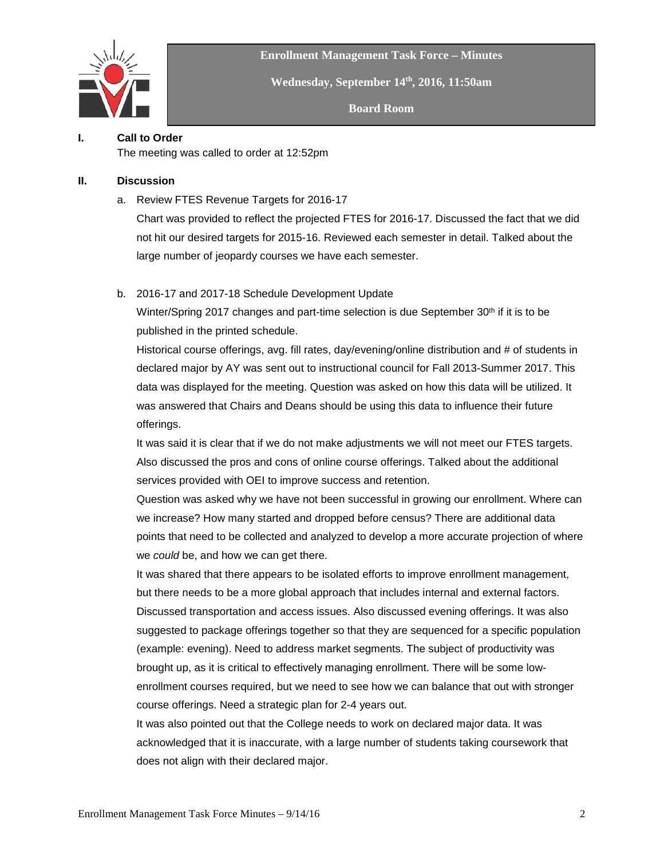

**Enrollment Management Task Force – Minutes**

**Wednesday, September 14th, 2016, 11:50am**

**Board Room**

# **I. Call to Order**

The meeting was called to order at 12:52pm

### **II. Discussion**

a. Review FTES Revenue Targets for 2016-17

Chart was provided to reflect the projected FTES for 2016-17. Discussed the fact that we did not hit our desired targets for 2015-16. Reviewed each semester in detail. Talked about the large number of jeopardy courses we have each semester.

## b. 2016-17 and 2017-18 Schedule Development Update

Winter/Spring 2017 changes and part-time selection is due September 30<sup>th</sup> if it is to be published in the printed schedule.

Historical course offerings, avg. fill rates, day/evening/online distribution and # of students in declared major by AY was sent out to instructional council for Fall 2013-Summer 2017. This data was displayed for the meeting. Question was asked on how this data will be utilized. It was answered that Chairs and Deans should be using this data to influence their future offerings.

It was said it is clear that if we do not make adjustments we will not meet our FTES targets. Also discussed the pros and cons of online course offerings. Talked about the additional services provided with OEI to improve success and retention.

Question was asked why we have not been successful in growing our enrollment. Where can we increase? How many started and dropped before census? There are additional data points that need to be collected and analyzed to develop a more accurate projection of where we *could* be, and how we can get there.

It was shared that there appears to be isolated efforts to improve enrollment management, but there needs to be a more global approach that includes internal and external factors. Discussed transportation and access issues. Also discussed evening offerings. It was also suggested to package offerings together so that they are sequenced for a specific population (example: evening). Need to address market segments. The subject of productivity was brought up, as it is critical to effectively managing enrollment. There will be some lowenrollment courses required, but we need to see how we can balance that out with stronger course offerings. Need a strategic plan for 2-4 years out.

It was also pointed out that the College needs to work on declared major data. It was acknowledged that it is inaccurate, with a large number of students taking coursework that does not align with their declared major.